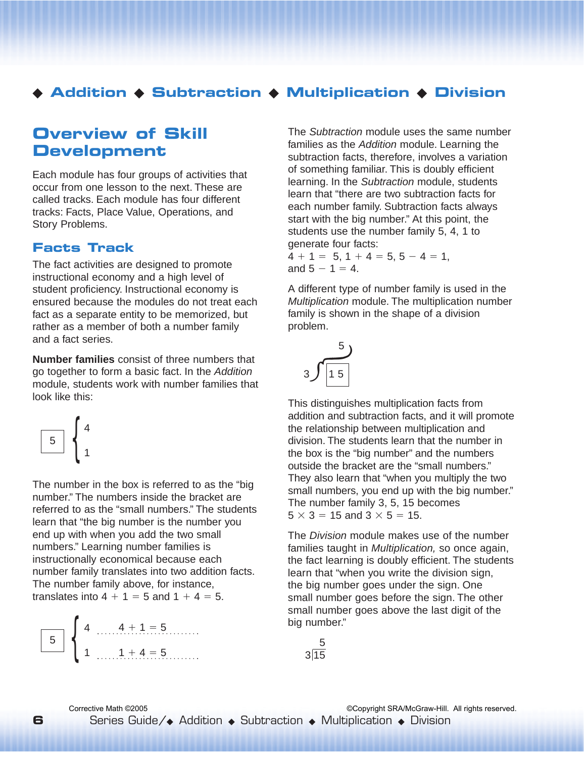## ◆ **Addition** ◆ **Subtraction** ◆ **Multiplication** ◆ **Division**

# **Overview of Skill Development**

Each module has four groups of activities that occur from one lesson to the next. These are called tracks. Each module has four different tracks: Facts, Place Value, Operations, and Story Problems.

## **Facts Track**

The fact activities are designed to promote instructional economy and a high level of student proficiency. Instructional economy is ensured because the modules do not treat each fact as a separate entity to be memorized, but rather as a member of both a number family and a fact series.

**Number families** consist of three numbers that go together to form a basic fact. In the Addition module, students work with number families that look like this:



The number in the box is referred to as the "big number." The numbers inside the bracket are referred to as the "small numbers." The students learn that "the big number is the number you end up with when you add the two small numbers." Learning number families is instructionally economical because each number family translates into two addition facts. The number family above, for instance, translates into  $4 + 1 = 5$  and  $1 + 4 = 5$ .

$$
\boxed{5} \left\{ \begin{array}{c} 4 & \dots & 4+1=5 \\ 1 & \dots & 1+4=5 \end{array} \right.
$$

The Subtraction module uses the same number families as the Addition module. Learning the subtraction facts, therefore, involves a variation of something familiar. This is doubly efficient learning. In the Subtraction module, students learn that "there are two subtraction facts for each number family. Subtraction facts always start with the big number." At this point, the students use the number family 5, 4, 1 to generate four facts:

 $4 + 1 = 5$ ,  $1 + 4 = 5$ ,  $5 - 4 = 1$ , and  $5 - 1 = 4$ .

A different type of number family is used in the Multiplication module. The multiplication number family is shown in the shape of a division problem.



This distinguishes multiplication facts from addition and subtraction facts, and it will promote the relationship between multiplication and division. The students learn that the number in the box is the "big number" and the numbers outside the bracket are the "small numbers." They also learn that "when you multiply the two small numbers, you end up with the big number." The number family 3, 5, 15 becomes  $5 \times 3 = 15$  and  $3 \times 5 = 15$ .

The *Division* module makes use of the number families taught in *Multiplication*, so once again, the fact learning is doubly efficient. The students learn that "when you write the division sign, the big number goes under the sign. One small number goes before the sign. The other small number goes above the last digit of the big number."

5 3 15

**6** Series Guide/◆ Addition ◆ Subtraction ◆ Multiplication ◆ Division Corrective Math ©2005 ©Copyright SRA/McGraw-Hill. All rights reserved.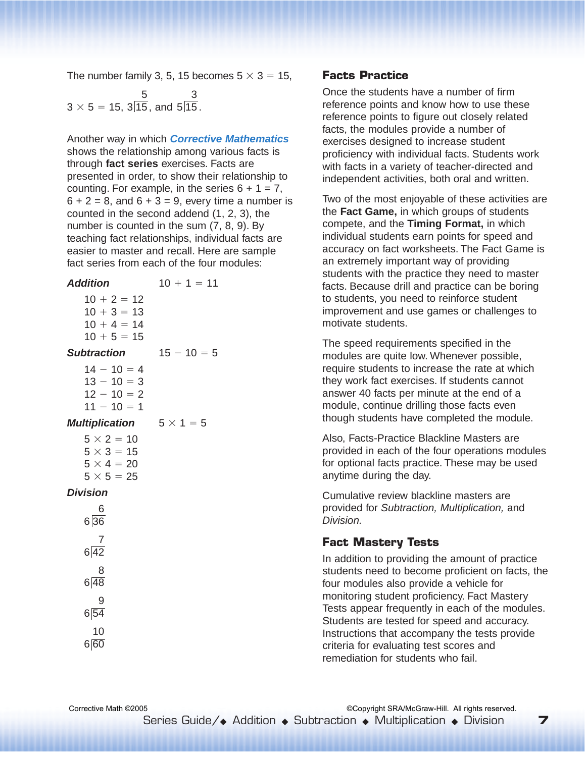The number family 3, 5, 15 becomes  $5 \times 3 = 15$ ,

$$
3 \times 5 = 15, 3\overline{15}, \text{ and } 5\overline{15}.
$$

Another way in which **Corrective Mathematics** shows the relationship among various facts is through **fact series** exercises. Facts are presented in order, to show their relationship to counting. For example, in the series  $6 + 1 = 7$ ,  $6 + 2 = 8$ , and  $6 + 3 = 9$ , every time a number is counted in the second addend (1, 2, 3), the number is counted in the sum (7, 8, 9). By teaching fact relationships, individual facts are easier to master and recall. Here are sample fact series from each of the four modules:

| <b>Addition</b>                                                                                     | $10 + 1 = 11$    |
|-----------------------------------------------------------------------------------------------------|------------------|
| $10 + 2 = 12$<br>$10 + 3 = 13$<br>$10 + 4 = 14$<br>$10 + 5 = 15$                                    |                  |
| <b>Subtraction</b>                                                                                  | $15 - 10 = 5$    |
| $14 - 10 = 4$<br>$13 - 10 = 3$<br>$12 - 10 = 2$<br>$11 - 10 = 1$                                    |                  |
| <b>Multiplication</b>                                                                               | $5 \times 1 = 5$ |
| $5 \times 2 = 10$<br>$5 \times 3 = 15$<br>$5 \times 4 = 20$<br>$5 \times 5 = 25$<br><b>Division</b> |                  |
|                                                                                                     |                  |
| $rac{6}{6 36}$                                                                                      |                  |
| $rac{7}{6 42}$                                                                                      |                  |
| 8<br>$6\overline{48}$                                                                               |                  |
| 9<br>$6\overline{54}$                                                                               |                  |
| 10<br>6 60                                                                                          |                  |

#### **Facts Practice**

Once the students have a number of firm reference points and know how to use these reference points to figure out closely related facts, the modules provide a number of exercises designed to increase student proficiency with individual facts. Students work with facts in a variety of teacher-directed and independent activities, both oral and written.

Two of the most enjoyable of these activities are the **Fact Game,** in which groups of students compete, and the **Timing Format,** in which individual students earn points for speed and accuracy on fact worksheets. The Fact Game is an extremely important way of providing students with the practice they need to master facts. Because drill and practice can be boring to students, you need to reinforce student improvement and use games or challenges to motivate students.

The speed requirements specified in the modules are quite low. Whenever possible, require students to increase the rate at which they work fact exercises. If students cannot answer 40 facts per minute at the end of a module, continue drilling those facts even though students have completed the module.

Also, Facts-Practice Blackline Masters are provided in each of the four operations modules for optional facts practice. These may be used anytime during the day.

Cumulative review blackline masters are provided for Subtraction, Multiplication, and Division.

#### **Fact Mastery Tests**

In addition to providing the amount of practice students need to become proficient on facts, the four modules also provide a vehicle for monitoring student proficiency. Fact Mastery Tests appear frequently in each of the modules. Students are tested for speed and accuracy. Instructions that accompany the tests provide criteria for evaluating test scores and remediation for students who fail.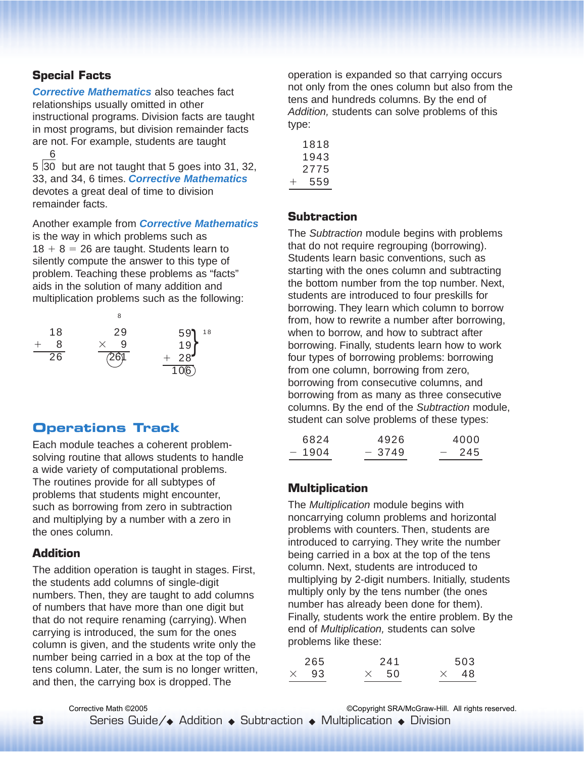### **Special Facts**

**Corrective Mathematics** also teaches fact relationships usually omitted in other instructional programs. Division facts are taught in most programs, but division remainder facts are not. For example, students are taught 6

5 30 but are not taught that 5 goes into 31, 32, 33, and 34, 6 times. **Corrective Mathematics** devotes a great deal of time to division remainder facts.

Another example from **Corrective Mathematics** is the way in which problems such as  $18 + 8 = 26$  are taught. Students learn to silently compute the answer to this type of problem. Teaching these problems as "facts" aids in the solution of many addition and multiplication problems such as the following:



## **Operations Track**

Each module teaches a coherent problemsolving routine that allows students to handle a wide variety of computational problems. The routines provide for all subtypes of problems that students might encounter, such as borrowing from zero in subtraction and multiplying by a number with a zero in the ones column.

## **Addition**

The addition operation is taught in stages. First, the students add columns of single-digit numbers. Then, they are taught to add columns of numbers that have more than one digit but that do not require renaming (carrying). When carrying is introduced, the sum for the ones column is given, and the students write only the number being carried in a box at the top of the tens column. Later, the sum is no longer written, and then, the carrying box is dropped. The

operation is expanded so that carrying occurs not only from the ones column but also from the tens and hundreds columns. By the end of Addition, students can solve problems of this type:

|        | 1818 |
|--------|------|
|        | 1943 |
|        | 2775 |
| $^{+}$ | 559  |
|        |      |

## **Subtraction**

The Subtraction module begins with problems that do not require regrouping (borrowing). Students learn basic conventions, such as starting with the ones column and subtracting the bottom number from the top number. Next, students are introduced to four preskills for borrowing. They learn which column to borrow from, how to rewrite a number after borrowing, when to borrow, and how to subtract after borrowing. Finally, students learn how to work four types of borrowing problems: borrowing from one column, borrowing from zero, borrowing from consecutive columns, and borrowing from as many as three consecutive columns. By the end of the Subtraction module, student can solve problems of these types:

| 6824    | 4926    | 4000 |
|---------|---------|------|
| $-1904$ | $-3749$ | 245  |

## **Multiplication**

The Multiplication module begins with noncarrying column problems and horizontal problems with counters. Then, students are introduced to carrying. They write the number being carried in a box at the top of the tens column. Next, students are introduced to multiplying by 2-digit numbers. Initially, students multiply only by the tens number (the ones number has already been done for them). Finally, students work the entire problem. By the end of Multiplication, students can solve problems like these:

| 265         | 241         | 503 |
|-------------|-------------|-----|
| $\times$ 93 | $\times$ 50 | 48  |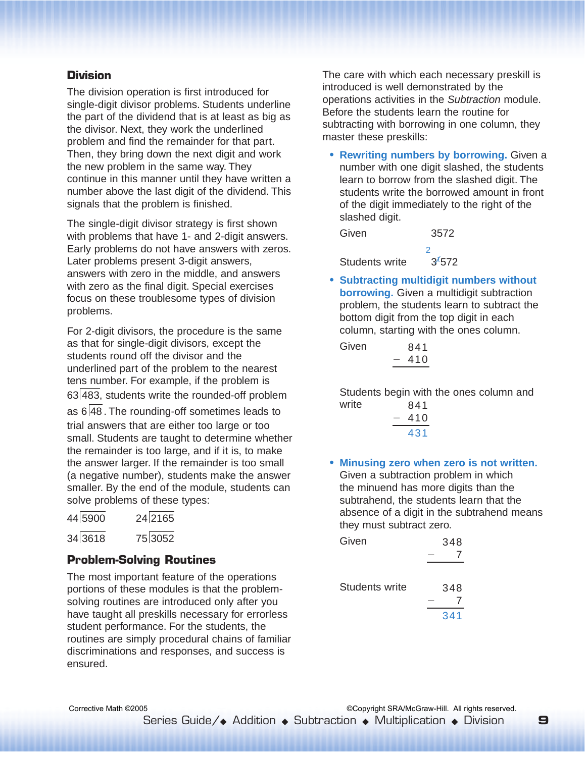## **Division**

The division operation is first introduced for single-digit divisor problems. Students underline the part of the dividend that is at least as big as the divisor. Next, they work the underlined problem and find the remainder for that part. Then, they bring down the next digit and work the new problem in the same way. They continue in this manner until they have written a number above the last digit of the dividend. This signals that the problem is finished.

The single-digit divisor strategy is first shown with problems that have 1- and 2-digit answers. Early problems do not have answers with zeros. Later problems present 3-digit answers, answers with zero in the middle, and answers with zero as the final digit. Special exercises focus on these troublesome types of division problems.

For 2-digit divisors, the procedure is the same as that for single-digit divisors, except the students round off the divisor and the underlined part of the problem to the nearest tens number. For example, if the problem is 63 483, students write the rounded-off problem

as  $6|48$ . The rounding-off sometimes leads to trial answers that are either too large or too small. Students are taught to determine whether the remainder is too large, and if it is, to make the answer larger. If the remainder is too small (a negative number), students make the answer smaller. By the end of the module, students can solve problems of these types:

| 44 5900             | $24\overline{2165}$ |
|---------------------|---------------------|
| $34\overline{3618}$ | 75 3052             |

## **Problem-Solving Routines**

The most important feature of the operations portions of these modules is that the problemsolving routines are introduced only after you have taught all preskills necessary for errorless student performance. For the students, the routines are simply procedural chains of familiar discriminations and responses, and success is ensured.

The care with which each necessary preskill is introduced is well demonstrated by the operations activities in the Subtraction module. Before the students learn the routine for subtracting with borrowing in one column, they master these preskills:

**• Rewriting numbers by borrowing.** Given a number with one digit slashed, the students learn to borrow from the slashed digit. The students write the borrowed amount in front of the digit immediately to the right of the slashed digit.

| Given                 | 3572       |
|-----------------------|------------|
|                       | 2          |
| <b>Students write</b> | $3^{4}572$ |

**• Subtracting multidigit numbers without borrowing.** Given a multidigit subtraction problem, the students learn to subtract the bottom digit from the top digit in each column, starting with the ones column.

| Given | 841 |
|-------|-----|
|       | 410 |

Students begin with the ones column and write 841

|  | 410 |  |
|--|-----|--|
|  | 431 |  |

#### **• Minusing zero when zero is not written.**

Given a subtraction problem in which the minuend has more digits than the subtrahend, the students learn that the absence of a digit in the subtrahend means they must subtract zero.

| Given                 | 348 |
|-----------------------|-----|
|                       |     |
|                       |     |
| <b>Students write</b> | 348 |
|                       |     |
|                       | 341 |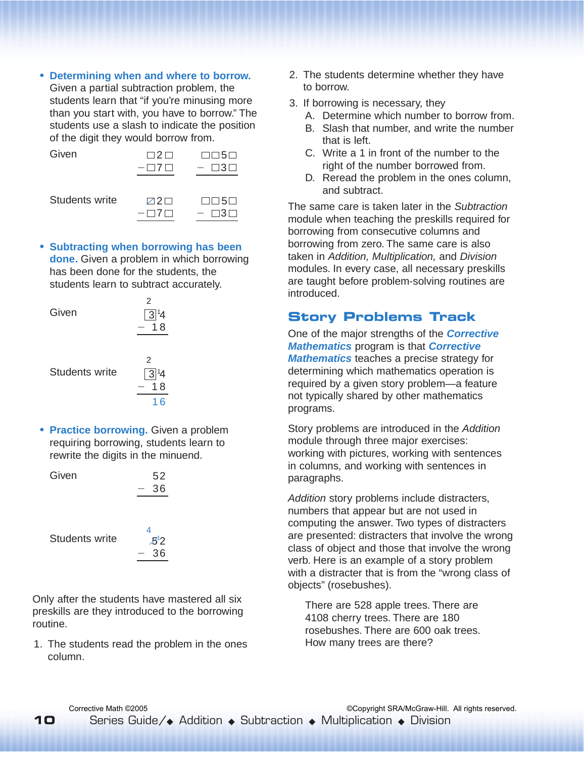**• Determining when and where to borrow.** Given a partial subtraction problem, the students learn that "if you're minusing more than you start with, you have to borrow." The students use a slash to indicate the position of the digit they would borrow from.

| Given          | $\Box 2\Box$<br>$-\Box 7$ $\Box$ | $\Box$ $\Box$ 5 $\Box$<br>$ \Box$ 3 $\Box$ |
|----------------|----------------------------------|--------------------------------------------|
| Students write | $\neg$ 2 $\neg$<br>$-1111$       | $\Box$ 5 $\Box$<br>$\Box 3\Box$            |

**• Subtracting when borrowing has been done.** Given a problem in which borrowing has been done for the students, the students learn to subtract accurately.

| Given          | 2<br>14<br>  3<br>18        |
|----------------|-----------------------------|
| Students write | 2<br>14<br>  3<br>18<br>1 6 |

**• Practice borrowing.** Given a problem requiring borrowing, students learn to rewrite the digits in the minuend.



Only after the students have mastered all six preskills are they introduced to the borrowing routine.

1. The students read the problem in the ones column.

- 2. The students determine whether they have to borrow.
- 3. If borrowing is necessary, they
	- A. Determine which number to borrow from.
	- B. Slash that number, and write the number that is left.
	- C. Write a 1 in front of the number to the right of the number borrowed from.
	- D. Reread the problem in the ones column, and subtract.

The same care is taken later in the Subtraction module when teaching the preskills required for borrowing from consecutive columns and borrowing from zero. The same care is also taken in Addition, Multiplication, and Division modules. In every case, all necessary preskills are taught before problem-solving routines are introduced.

## **Story Problems Track**

One of the major strengths of the **Corrective Mathematics** program is that **Corrective Mathematics** teaches a precise strategy for determining which mathematics operation is required by a given story problem—a feature not typically shared by other mathematics programs.

Story problems are introduced in the Addition module through three major exercises: working with pictures, working with sentences in columns, and working with sentences in paragraphs.

Addition story problems include distracters, numbers that appear but are not used in computing the answer. Two types of distracters are presented: distracters that involve the wrong class of object and those that involve the wrong verb. Here is an example of a story problem with a distracter that is from the "wrong class of objects" (rosebushes).

There are 528 apple trees. There are 4108 cherry trees. There are 180 rosebushes. There are 600 oak trees. How many trees are there?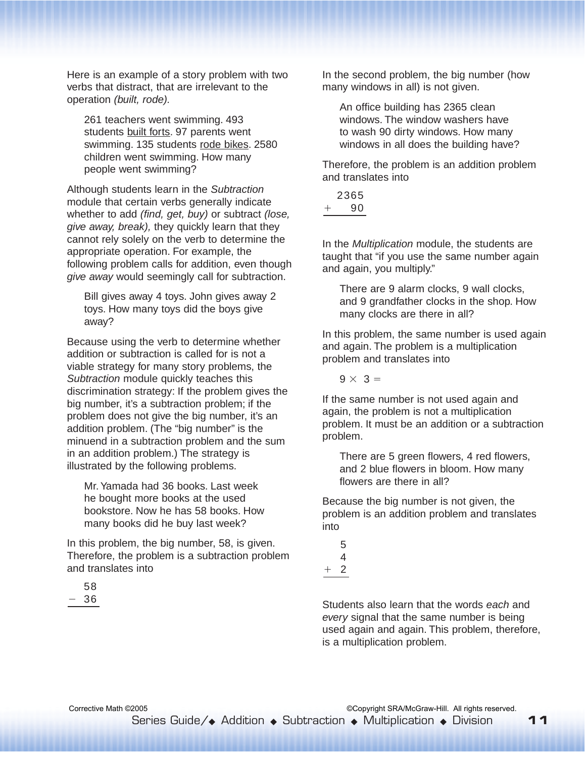Here is an example of a story problem with two verbs that distract, that are irrelevant to the operation (built, rode).

261 teachers went swimming. 493 students built forts. 97 parents went swimming. 135 students rode bikes. 2580 children went swimming. How many people went swimming?

Although students learn in the Subtraction module that certain verbs generally indicate whether to add (find, get, buy) or subtract (lose, give away, break), they quickly learn that they cannot rely solely on the verb to determine the appropriate operation. For example, the following problem calls for addition, even though give away would seemingly call for subtraction.

Bill gives away 4 toys. John gives away 2 toys. How many toys did the boys give away?

Because using the verb to determine whether addition or subtraction is called for is not a viable strategy for many story problems, the Subtraction module quickly teaches this discrimination strategy: If the problem gives the big number, it's a subtraction problem; if the problem does not give the big number, it's an addition problem. (The "big number" is the minuend in a subtraction problem and the sum in an addition problem.) The strategy is illustrated by the following problems.

Mr. Yamada had 36 books. Last week he bought more books at the used bookstore. Now he has 58 books. How many books did he buy last week?

In this problem, the big number, 58, is given. Therefore, the problem is a subtraction problem and translates into

58

2 36

In the second problem, the big number (how many windows in all) is not given.

An office building has 2365 clean windows. The window washers have to wash 90 dirty windows. How many windows in all does the building have?

Therefore, the problem is an addition problem and translates into

2365 1 90

In the Multiplication module, the students are taught that "if you use the same number again and again, you multiply."

There are 9 alarm clocks, 9 wall clocks, and 9 grandfather clocks in the shop. How many clocks are there in all?

In this problem, the same number is used again and again. The problem is a multiplication problem and translates into

 $9 \times 3 =$ 

If the same number is not used again and again, the problem is not a multiplication problem. It must be an addition or a subtraction problem.

There are 5 green flowers, 4 red flowers, and 2 blue flowers in bloom. How many flowers are there in all?

Because the big number is not given, the problem is an addition problem and translates into

Students also learn that the words each and every signal that the same number is being used again and again. This problem, therefore, is a multiplication problem.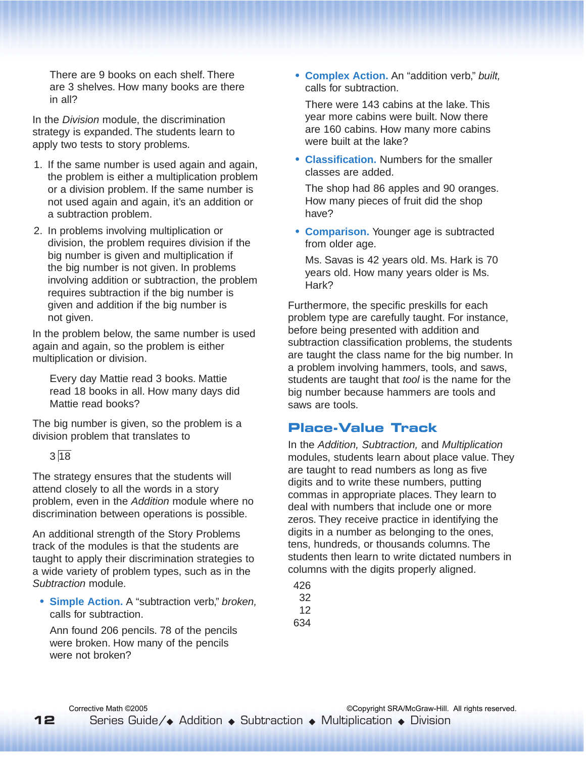There are 9 books on each shelf. There are 3 shelves. How many books are there in all?

In the Division module, the discrimination strategy is expanded. The students learn to apply two tests to story problems.

- 1. If the same number is used again and again, the problem is either a multiplication problem or a division problem. If the same number is not used again and again, it's an addition or a subtraction problem.
- 2. In problems involving multiplication or division, the problem requires division if the big number is given and multiplication if the big number is not given. In problems involving addition or subtraction, the problem requires subtraction if the big number is given and addition if the big number is not given.

In the problem below, the same number is used again and again, so the problem is either multiplication or division.

Every day Mattie read 3 books. Mattie read 18 books in all. How many days did Mattie read books?

The big number is given, so the problem is a division problem that translates to

## $3 \overline{18}$

The strategy ensures that the students will attend closely to all the words in a story problem, even in the Addition module where no discrimination between operations is possible.

An additional strength of the Story Problems track of the modules is that the students are taught to apply their discrimination strategies to a wide variety of problem types, such as in the Subtraction module.

**• Simple Action.** A "subtraction verb," broken, calls for subtraction.

Ann found 206 pencils. 78 of the pencils were broken. How many of the pencils were not broken?

**• Complex Action.** An "addition verb," built, calls for subtraction.

There were 143 cabins at the lake. This year more cabins were built. Now there are 160 cabins. How many more cabins were built at the lake?

**• Classification.** Numbers for the smaller classes are added.

The shop had 86 apples and 90 oranges. How many pieces of fruit did the shop have?

**• Comparison.** Younger age is subtracted from older age.

Ms. Savas is 42 years old. Ms. Hark is 70 years old. How many years older is Ms. Hark?

Furthermore, the specific preskills for each problem type are carefully taught. For instance, before being presented with addition and subtraction classification problems, the students are taught the class name for the big number. In a problem involving hammers, tools, and saws, students are taught that *tool* is the name for the big number because hammers are tools and saws are tools.

## **Place-Value Track**

In the Addition, Subtraction, and Multiplication modules, students learn about place value. They are taught to read numbers as long as five digits and to write these numbers, putting commas in appropriate places. They learn to deal with numbers that include one or more zeros. They receive practice in identifying the digits in a number as belonging to the ones, tens, hundreds, or thousands columns. The students then learn to write dictated numbers in columns with the digits properly aligned.

| ۳<br>r<br>ŕ. |  |
|--------------|--|
|              |  |

12

634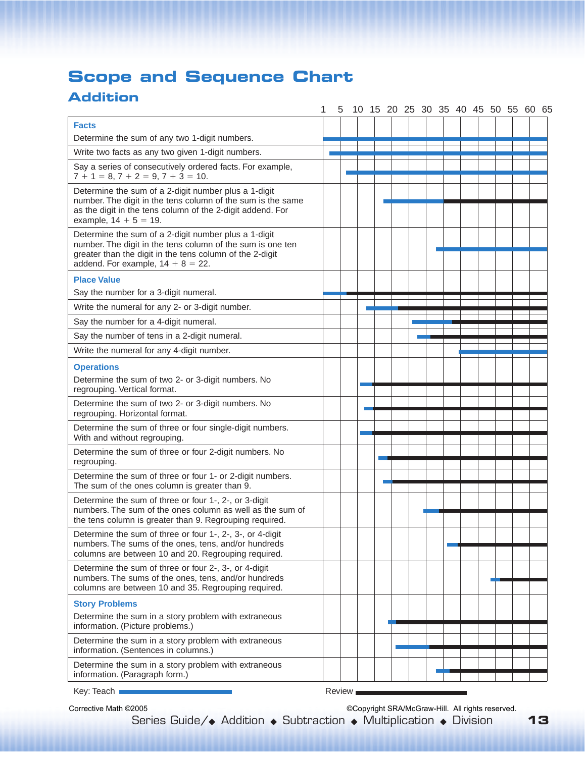## **Addition**

|                                                                                                                                                                                                                        |        |  |  | 10 15 20 25 30 35 40 45 50 55 60 65 |  |  |  |
|------------------------------------------------------------------------------------------------------------------------------------------------------------------------------------------------------------------------|--------|--|--|-------------------------------------|--|--|--|
| <b>Facts</b>                                                                                                                                                                                                           |        |  |  |                                     |  |  |  |
| Determine the sum of any two 1-digit numbers.                                                                                                                                                                          |        |  |  |                                     |  |  |  |
| Write two facts as any two given 1-digit numbers.                                                                                                                                                                      |        |  |  |                                     |  |  |  |
| Say a series of consecutively ordered facts. For example,<br>$7 + 1 = 8$ , $7 + 2 = 9$ , $7 + 3 = 10$ .                                                                                                                |        |  |  |                                     |  |  |  |
| Determine the sum of a 2-digit number plus a 1-digit<br>number. The digit in the tens column of the sum is the same<br>as the digit in the tens column of the 2-digit addend. For<br>example, $14 + 5 = 19$ .          |        |  |  |                                     |  |  |  |
| Determine the sum of a 2-digit number plus a 1-digit<br>number. The digit in the tens column of the sum is one ten<br>greater than the digit in the tens column of the 2-digit<br>addend. For example, $14 + 8 = 22$ . |        |  |  |                                     |  |  |  |
| <b>Place Value</b>                                                                                                                                                                                                     |        |  |  |                                     |  |  |  |
| Say the number for a 3-digit numeral.                                                                                                                                                                                  |        |  |  |                                     |  |  |  |
| Write the numeral for any 2- or 3-digit number.                                                                                                                                                                        |        |  |  |                                     |  |  |  |
| Say the number for a 4-digit numeral.                                                                                                                                                                                  |        |  |  |                                     |  |  |  |
| Say the number of tens in a 2-digit numeral.                                                                                                                                                                           |        |  |  |                                     |  |  |  |
| Write the numeral for any 4-digit number.                                                                                                                                                                              |        |  |  |                                     |  |  |  |
| <b>Operations</b>                                                                                                                                                                                                      |        |  |  |                                     |  |  |  |
| Determine the sum of two 2- or 3-digit numbers. No<br>regrouping. Vertical format.                                                                                                                                     |        |  |  |                                     |  |  |  |
| Determine the sum of two 2- or 3-digit numbers. No<br>regrouping. Horizontal format.                                                                                                                                   |        |  |  |                                     |  |  |  |
| Determine the sum of three or four single-digit numbers.<br>With and without regrouping.                                                                                                                               |        |  |  |                                     |  |  |  |
| Determine the sum of three or four 2-digit numbers. No<br>regrouping.                                                                                                                                                  |        |  |  |                                     |  |  |  |
| Determine the sum of three or four 1- or 2-digit numbers.<br>The sum of the ones column is greater than 9.                                                                                                             |        |  |  |                                     |  |  |  |
| Determine the sum of three or four 1-, 2-, or 3-digit<br>numbers. The sum of the ones column as well as the sum of<br>the tens column is greater than 9. Regrouping required.                                          |        |  |  |                                     |  |  |  |
| Determine the sum of three or four 1-, 2-, 3-, or 4-digit<br>numbers. The sums of the ones, tens, and/or hundreds<br>columns are between 10 and 20. Regrouping required.                                               |        |  |  |                                     |  |  |  |
| Determine the sum of three or four 2-, 3-, or 4-digit<br>numbers. The sums of the ones, tens, and/or hundreds<br>columns are between 10 and 35. Regrouping required.                                                   |        |  |  |                                     |  |  |  |
| <b>Story Problems</b>                                                                                                                                                                                                  |        |  |  |                                     |  |  |  |
| Determine the sum in a story problem with extraneous<br>information. (Picture problems.)                                                                                                                               |        |  |  |                                     |  |  |  |
| Determine the sum in a story problem with extraneous<br>information. (Sentences in columns.)                                                                                                                           |        |  |  |                                     |  |  |  |
| Determine the sum in a story problem with extraneous<br>information. (Paragraph form.)                                                                                                                                 |        |  |  |                                     |  |  |  |
| Key: Teach                                                                                                                                                                                                             | Review |  |  |                                     |  |  |  |

Corrective Math ©2005 ©Copyright SRA/McGraw-Hill. All rights reserved.

Series Guide/◆ Addition ◆ Subtraction ◆ Multiplication ◆ Division **13**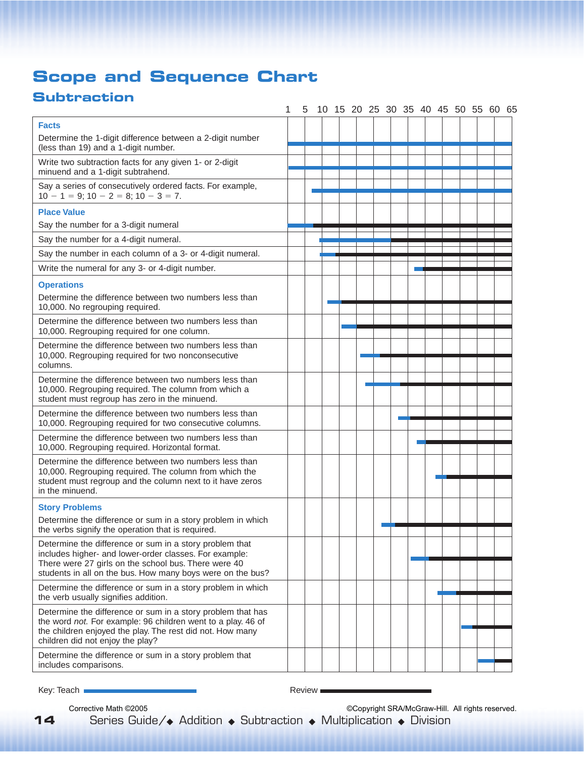## **Subtraction**

|                                                                                                                                                                                                                              | 5 |  |  | 10 15 20 25 30 35 40 45 50 55 60 65 |  |  |  |
|------------------------------------------------------------------------------------------------------------------------------------------------------------------------------------------------------------------------------|---|--|--|-------------------------------------|--|--|--|
| <b>Facts</b>                                                                                                                                                                                                                 |   |  |  |                                     |  |  |  |
| Determine the 1-digit difference between a 2-digit number<br>(less than 19) and a 1-digit number.                                                                                                                            |   |  |  |                                     |  |  |  |
| Write two subtraction facts for any given 1- or 2-digit<br>minuend and a 1-digit subtrahend.                                                                                                                                 |   |  |  |                                     |  |  |  |
| Say a series of consecutively ordered facts. For example,<br>$10 - 1 = 9$ ; $10 - 2 = 8$ ; $10 - 3 = 7$ .                                                                                                                    |   |  |  |                                     |  |  |  |
| <b>Place Value</b><br>Say the number for a 3-digit numeral                                                                                                                                                                   |   |  |  |                                     |  |  |  |
| Say the number for a 4-digit numeral.                                                                                                                                                                                        |   |  |  |                                     |  |  |  |
| Say the number in each column of a 3- or 4-digit numeral.                                                                                                                                                                    |   |  |  |                                     |  |  |  |
| Write the numeral for any 3- or 4-digit number.                                                                                                                                                                              |   |  |  |                                     |  |  |  |
| <b>Operations</b>                                                                                                                                                                                                            |   |  |  |                                     |  |  |  |
| Determine the difference between two numbers less than<br>10,000. No regrouping required.                                                                                                                                    |   |  |  |                                     |  |  |  |
| Determine the difference between two numbers less than<br>10,000. Regrouping required for one column.                                                                                                                        |   |  |  |                                     |  |  |  |
| Determine the difference between two numbers less than<br>10,000. Regrouping required for two nonconsecutive<br>columns.                                                                                                     |   |  |  |                                     |  |  |  |
| Determine the difference between two numbers less than<br>10,000. Regrouping required. The column from which a<br>student must regroup has zero in the minuend.                                                              |   |  |  |                                     |  |  |  |
| Determine the difference between two numbers less than<br>10,000. Regrouping required for two consecutive columns.                                                                                                           |   |  |  |                                     |  |  |  |
| Determine the difference between two numbers less than<br>10,000. Regrouping required. Horizontal format.                                                                                                                    |   |  |  |                                     |  |  |  |
| Determine the difference between two numbers less than<br>10,000. Regrouping required. The column from which the<br>student must regroup and the column next to it have zeros<br>in the minuend.                             |   |  |  |                                     |  |  |  |
| <b>Story Problems</b>                                                                                                                                                                                                        |   |  |  |                                     |  |  |  |
| Determine the difference or sum in a story problem in which<br>the verbs signify the operation that is required.                                                                                                             |   |  |  |                                     |  |  |  |
| Determine the difference or sum in a story problem that<br>includes higher- and lower-order classes. For example:<br>There were 27 girls on the school bus. There were 40                                                    |   |  |  |                                     |  |  |  |
| students in all on the bus. How many boys were on the bus?<br>Determine the difference or sum in a story problem in which<br>the verb usually signifies addition.                                                            |   |  |  |                                     |  |  |  |
| Determine the difference or sum in a story problem that has<br>the word not. For example: 96 children went to a play. 46 of<br>the children enjoyed the play. The rest did not. How many<br>children did not enjoy the play? |   |  |  |                                     |  |  |  |
| Determine the difference or sum in a story problem that<br>includes comparisons.                                                                                                                                             |   |  |  |                                     |  |  |  |

Key: Teach **Review Review Review Review Review**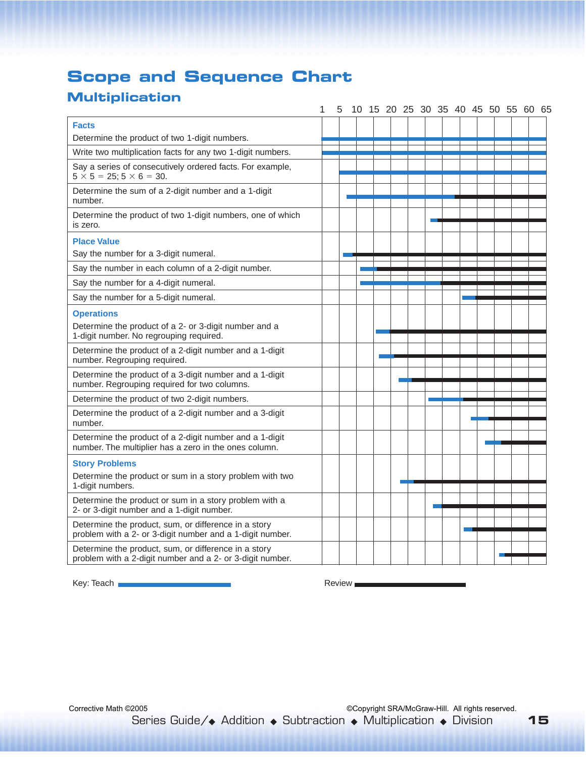# **Multiplication**

|                                                                                                                   | 1 | 5 |  |  |  |  |  |  | 10 15 20 25 30 35 40 45 50 55 60 65 |
|-------------------------------------------------------------------------------------------------------------------|---|---|--|--|--|--|--|--|-------------------------------------|
| <b>Facts</b>                                                                                                      |   |   |  |  |  |  |  |  |                                     |
| Determine the product of two 1-digit numbers.                                                                     |   |   |  |  |  |  |  |  |                                     |
| Write two multiplication facts for any two 1-digit numbers.                                                       |   |   |  |  |  |  |  |  |                                     |
| Say a series of consecutively ordered facts. For example,<br>$5 \times 5 = 25$ ; $5 \times 6 = 30$ .              |   |   |  |  |  |  |  |  |                                     |
| Determine the sum of a 2-digit number and a 1-digit<br>number.                                                    |   |   |  |  |  |  |  |  |                                     |
| Determine the product of two 1-digit numbers, one of which<br>is zero.                                            |   |   |  |  |  |  |  |  |                                     |
| <b>Place Value</b>                                                                                                |   |   |  |  |  |  |  |  |                                     |
| Say the number for a 3-digit numeral.                                                                             |   |   |  |  |  |  |  |  |                                     |
| Say the number in each column of a 2-digit number.                                                                |   |   |  |  |  |  |  |  |                                     |
| Say the number for a 4-digit numeral.                                                                             |   |   |  |  |  |  |  |  |                                     |
| Say the number for a 5-digit numeral.                                                                             |   |   |  |  |  |  |  |  |                                     |
| <b>Operations</b>                                                                                                 |   |   |  |  |  |  |  |  |                                     |
| Determine the product of a 2- or 3-digit number and a<br>1-digit number. No regrouping required.                  |   |   |  |  |  |  |  |  |                                     |
| Determine the product of a 2-digit number and a 1-digit<br>number. Regrouping required.                           |   |   |  |  |  |  |  |  |                                     |
| Determine the product of a 3-digit number and a 1-digit<br>number. Regrouping required for two columns.           |   |   |  |  |  |  |  |  |                                     |
| Determine the product of two 2-digit numbers.                                                                     |   |   |  |  |  |  |  |  |                                     |
| Determine the product of a 2-digit number and a 3-digit<br>number.                                                |   |   |  |  |  |  |  |  |                                     |
| Determine the product of a 2-digit number and a 1-digit<br>number. The multiplier has a zero in the ones column.  |   |   |  |  |  |  |  |  |                                     |
| <b>Story Problems</b>                                                                                             |   |   |  |  |  |  |  |  |                                     |
| Determine the product or sum in a story problem with two<br>1-digit numbers.                                      |   |   |  |  |  |  |  |  |                                     |
| Determine the product or sum in a story problem with a<br>2- or 3-digit number and a 1-digit number.              |   |   |  |  |  |  |  |  |                                     |
| Determine the product, sum, or difference in a story<br>problem with a 2- or 3-digit number and a 1-digit number. |   |   |  |  |  |  |  |  |                                     |
| Determine the product, sum, or difference in a story<br>problem with a 2-digit number and a 2- or 3-digit number. |   |   |  |  |  |  |  |  |                                     |

Key: Teach **Review Review Review Review Review**